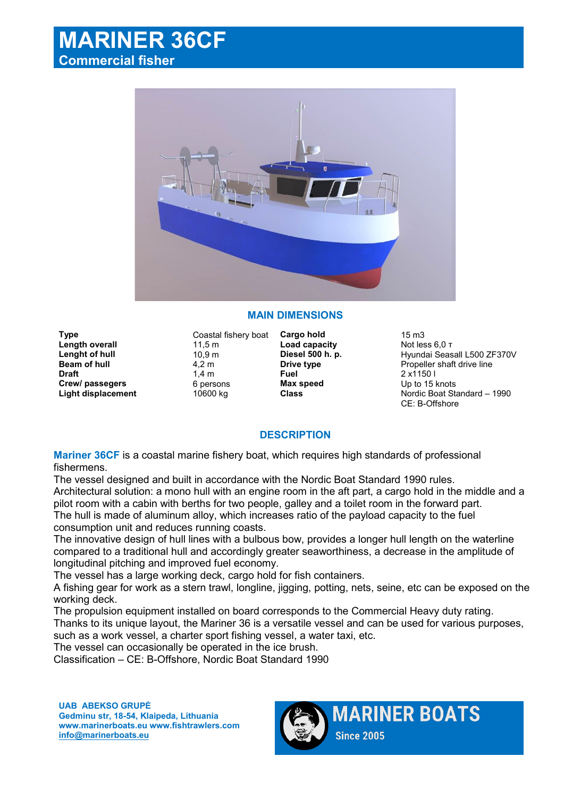# **MARINER 36CF Commercial fisher**



## **MAIN DIMENSIONS**

**Type Coastal fishery boat <b>Cargo hold** 15 m3 **Length overall 11,5 m**<br> **Load capacity** Alto Not less 6,0 τ<br> **Lenght of hull** 10.9 m **Diesel 500 h. p.** Hyundai Seas **Draft** 1,4 m **Fuel** 2 x1150 l **Crew/ passegers 6 persons Max speed** Up to 15 knots<br> **Class** Class Class Mordic Boat State Class

**Lenght of hull** 10,9 m **Diesel 500 h. p.** Hyundai Seasall L500 ZF370V<br> **Beam of hull** 4,2 m **Drive type Drive type** Propeller shaft drive line **Beam of hull**  $\begin{array}{ccc}\n & 4,2 \text{ m} \\
& 1,4 \text{ m}\n\end{array}$ **<b>Drive type** Propeller shaft drive line<br> **Draft** 2 x1150 l **Light displacement** 10600 kg **Class** Nordic Boat Standard – 1990 CE: B-Offshore

### **DESCRIPTION**

**Mariner 36CF** is a coastal marine fishery boat, which requires high standards of professional fishermens.

The vessel designed and built in accordance with the Nordic Boat Standard 1990 rules. Architectural solution: a mono hull with an engine room in the aft part, a cargo hold in the middle and a pilot room with a cabin with berths for two people, galley and a toilet room in the forward part. The hull is made of aluminum alloy, which increases ratio of the payload capacity to the fuel consumption unit and reduces running coasts.

The innovative design of hull lines with a bulbous bow, provides a longer hull length on the waterline compared to a traditional hull and accordingly greater seaworthiness, a decrease in the amplitude of longitudinal pitching and improved fuel economy.

The vessel has a large working deck, cargo hold for fish containers.

A fishing gear for work as a stern trawl, longline, jigging, potting, nets, seine, etc can be exposed on the working deck.

The propulsion equipment installed on board corresponds to the Commercial Heavy duty rating.

Thanks to its unique layout, the Mariner 36 is a versatile vessel and can be used for various purposes, such as a work vessel, a charter sport fishing vessel, a water taxi, etc.

The vessel can occasionally be operated in the ice brush.

Classification – CE: B-Offshore, Nordic Boat Standard 1990

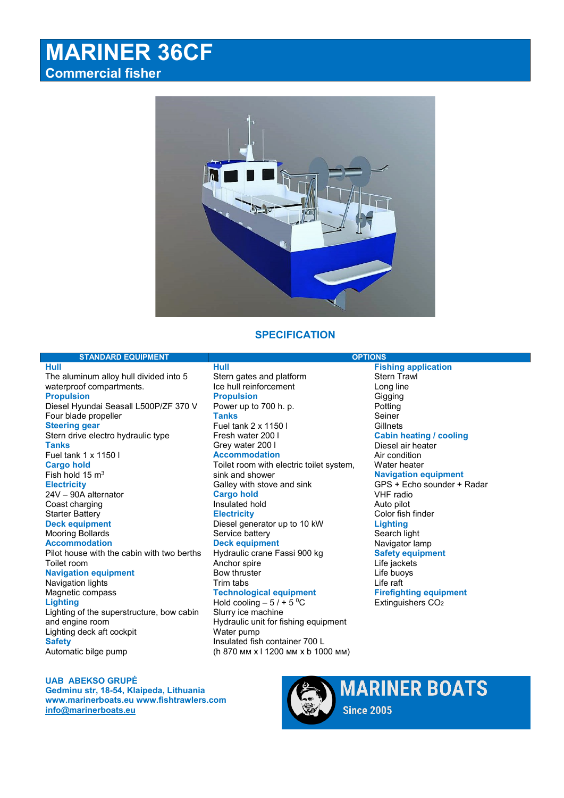# **MARINER 36CF Commercial fisher**



## **SPECIFICATION**

### **STANDARD EQUIPMENT OPTIONS**

**Hull** The aluminum alloy hull divided into 5 waterproof compartments. **Propulsion** Diesel Hyundai Seasall L500P/ZF 370 V Four blade propeller **Steering gear** Stern drive electro hydraulic type **Tanks** Fuel tank 1 х 1150 l **Cargo hold** Fish hold 15 m<sup>3</sup> **Electricity** 24V – 90A alternator Coast charging Starter Battery **Deck equipment** Mooring Bollards **Accommodation** Pilot house with the cabin with two berths Toilet room **Navigation equipment** Navigation lights Magnetic compass **Lighting** Lighting of the superstructure, bow cabin and engine room Lighting deck aft cockpit **Safety Hull**

Stern gates and platform Ice hull reinforcement **Propulsion** Power up to 700 h. p. **Tanks** Fuel tank 2 х 1150 l Fresh water 200 l Grey water 200 l **Accommodation** Toilet room with electric toilet system, sink and shower Galley with stove and sink **Cargo hold** Insulated hold **Electricity** Diesel generator up to 10 kW Service battery **Deck equipment** Hydraulic crane Fassi 900 kg Anchor spire Bow thruster Trim tabs **Technological equipment** Hold cooling  $-5/ + 5$  °C Slurry ice machine Hydraulic unit for fishing equipment Water pump Insulated fish container 700 L (h 870 мм x l 1200 мм х b 1000 мм)

**Fishing application**  Stern Trawl Long line **Gigging** Potting **Seiner Gillnets Cabin heating / cooling** Diesel air heater Air condition Water heater **Navigation equipment** GPS + Echo sounder + Radar VHF radio Auto pilot Color fish finder **Lighting** Search light Navigator lamp **Safety equipment** Life jackets Life buoys Life raft **Firefighting equipment** Extinguishers CO<sub>2</sub>

#### **Produsent: UAB ABEKSO GRUPĖ Gedminu str, 18-54, Klaipeda, Lithuania Leverandør: Yrkessenteret Hvittingfossveien 349, 3089 Holmestrand - Tlf +47 96643535 Epost: salg@yrkessenteret.no**

Automatic bilge pump

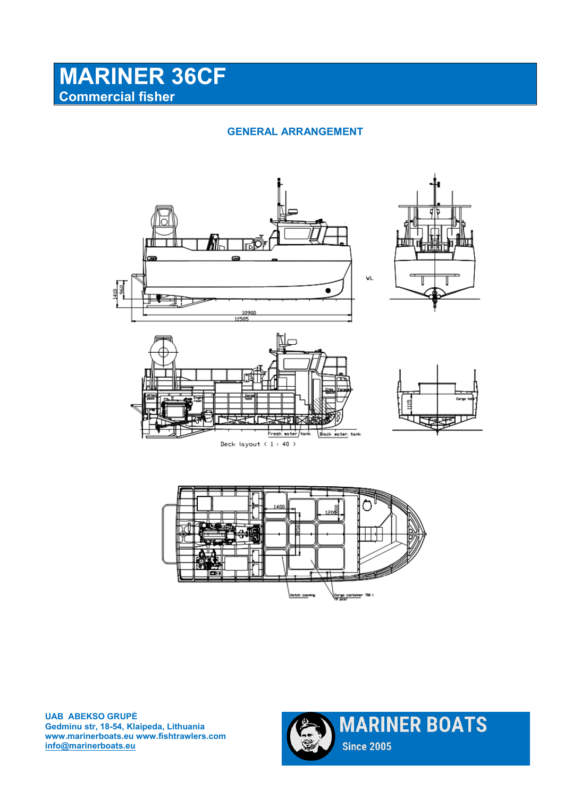# **MARINER 36CF Commercial fisher**

**GENERAL ARRANGEMENT**





**Produsent: UAB ABEKSO GRUPĖ Gedminu str, 18-54, Klaipeda, Lithuania Leverandør: Yrkessenteret Hvittingfossveien 349, 3089 Holmestrand - Tlf +47 96643535 Epost: salg@yrkessenteret.no**